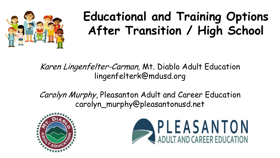

# **Educational and Training Options After Transition / High School**

Karen Lingenfelter-Carman, Mt. Diablo Adult Education lingenfelterk@mdusd.org

Carolyn Murphy, Pleasanton Adult and Career Education carolyn\_murphy@pleasantonusd.net



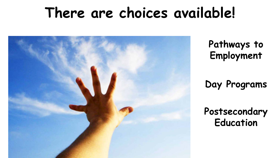# **There are choices available!**



**Pathways to Employment** 

**Day Programs**

**Postsecondary Education**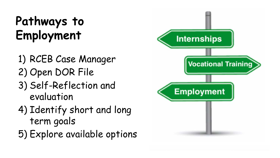# **Pathways to Employment**

- 1) RCEB Case Manager
- 2) Open DOR File
- 3) Self-Reflection and evaluation
- 4) Identify short and long term goals
- 5) Explore available options

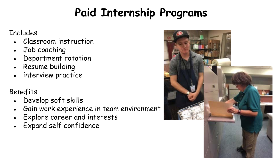## **Paid Internship Programs**

#### Includes

- Classroom instruction
- Job coaching
- Department rotation
- Resume building
- interview practice

#### Benefits

- Develop soft skills
- Gain work experience in team environment
- Explore career and interests
- Expand self confidence

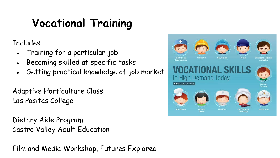## **Vocational Training**

Includes

- Training for a particular job
- Becoming skilled at specific tasks
- Getting practical knowledge of job market

Adaptive Horticulture Class Las Positas College

Dietary Aide Program Castro Valley Adult Education

Film and Media Workshop, Futures Explored

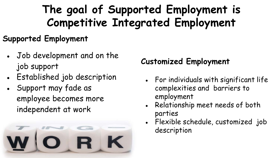### **The goal of Supported Employment is Competitive Integrated Employment**

#### **Supported Employment**

- Job development and on the job support
- Established job description
- Support may fade as employee becomes more independent at work



#### **Customized Employment**

- For individuals with significant life complexities and barriers to employment
- Relationship meet needs of both parties
- Flexible schedule, customized job description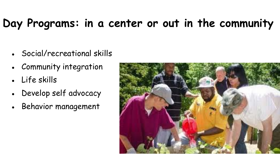## **Day Programs: in a center or out in the community**

- Social/recreational skills
- **Community integration**
- Life skills
- Develop self advocacy
- Behavior management

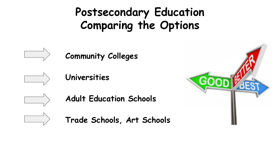### **Postsecondary Education Comparing the Options**



**Community Colleges**



**Universities**

**Adult Education Schools**



**Trade Schools, Art Schools**

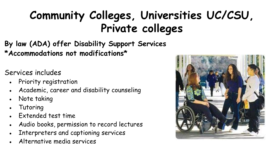### **Community Colleges, Universities UC/CSU, Private colleges**

**By law (ADA) offer Disability Support Services \*Accommodations not modifications\***

Services includes

- Priority registration
- Academic, career and disability counseling
- Note taking
- **Tutoring**
- Extended test time
- Audio books, permission to record lectures
- Interpreters and captioning services
- Alternative media services

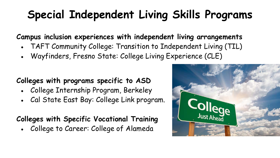### **Special Independent Living Skills Programs**

**Campus inclusion experiences with independent living arrangements**

- TAFT Community College: Transition to Independent Living (TIL)
- Wayfinders, Fresno State: College Living Experience (CLE)

#### **Colleges with programs specific to ASD**

- College Internship Program, Berkeley
- Cal State East Bay: College Link program.

#### **Colleges with Specific Vocational Training**

• College to Career: College of Alameda

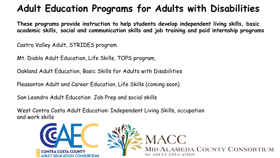#### **Adult Education Programs for Adults with Disabilities**

**These programs provide instruction to help students develop independent living skills, basic academic skills, social and communication skills and job training and paid internship programs**

Castro Valley Adult, STRIDES program

Mt. Diablo Adult Education, Life Skills, TOPS program,

Oakland Adult Education, Basic Skills for Adults with Disabilities

Pleasanton Adult and Career Education, Life Skills (coming soon)

San Leandro Adult Education Job Prep and social skills

West Contra Costa Adult Education: Independent Living Skills, occupation and work skills

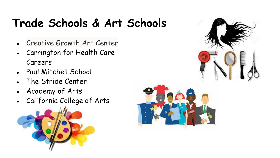### **Trade Schools & Art Schools**

- Creative Growth Art Center
- Carrington for Health Care Careers
- Paul Mitchell School
- The Stride Center
- Academy of Arts
- California College of Arts